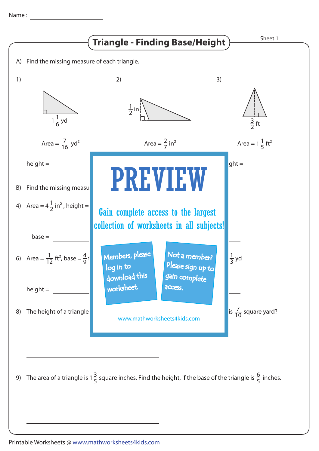